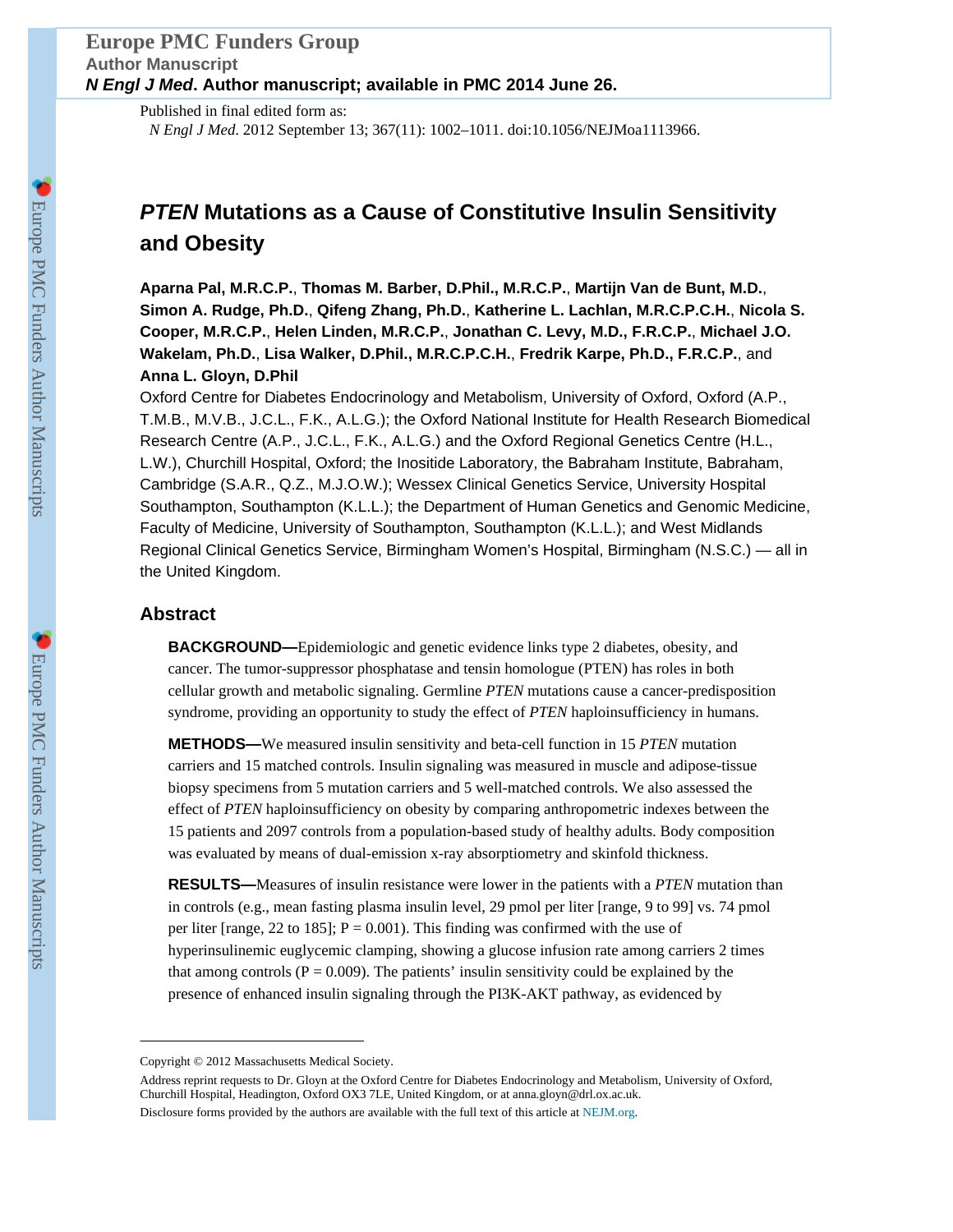# **Europe PMC Funders Group Author Manuscript N Engl J Med. Author manuscript; available in PMC 2014 June 26.**

Published in final edited form as:

*N Engl J Med*. 2012 September 13; 367(11): 1002–1011. doi:10.1056/NEJMoa1113966.

# **PTEN Mutations as a Cause of Constitutive Insulin Sensitivity and Obesity**

**Aparna Pal, M.R.C.P.**, **Thomas M. Barber, D.Phil., M.R.C.P.**, **Martijn Van de Bunt, M.D.**, **Simon A. Rudge, Ph.D.**, **Qifeng Zhang, Ph.D.**, **Katherine L. Lachlan, M.R.C.P.C.H.**, **Nicola S. Cooper, M.R.C.P.**, **Helen Linden, M.R.C.P.**, **Jonathan C. Levy, M.D., F.R.C.P.**, **Michael J.O. Wakelam, Ph.D.**, **Lisa Walker, D.Phil., M.R.C.P.C.H.**, **Fredrik Karpe, Ph.D., F.R.C.P.**, and **Anna L. Gloyn, D.Phil**

Oxford Centre for Diabetes Endocrinology and Metabolism, University of Oxford, Oxford (A.P., T.M.B., M.V.B., J.C.L., F.K., A.L.G.); the Oxford National Institute for Health Research Biomedical Research Centre (A.P., J.C.L., F.K., A.L.G.) and the Oxford Regional Genetics Centre (H.L., L.W.), Churchill Hospital, Oxford; the Inositide Laboratory, the Babraham Institute, Babraham, Cambridge (S.A.R., Q.Z., M.J.O.W.); Wessex Clinical Genetics Service, University Hospital Southampton, Southampton (K.L.L.); the Department of Human Genetics and Genomic Medicine, Faculty of Medicine, University of Southampton, Southampton (K.L.L.); and West Midlands Regional Clinical Genetics Service, Birmingham Women's Hospital, Birmingham (N.S.C.) — all in the United Kingdom.

# **Abstract**

**BACKGROUND—**Epidemiologic and genetic evidence links type 2 diabetes, obesity, and cancer. The tumor-suppressor phosphatase and tensin homologue (PTEN) has roles in both cellular growth and metabolic signaling. Germline *PTEN* mutations cause a cancer-predisposition syndrome, providing an opportunity to study the effect of *PTEN* haploinsufficiency in humans.

**METHODS—**We measured insulin sensitivity and beta-cell function in 15 *PTEN* mutation carriers and 15 matched controls. Insulin signaling was measured in muscle and adipose-tissue biopsy specimens from 5 mutation carriers and 5 well-matched controls. We also assessed the effect of *PTEN* haploinsufficiency on obesity by comparing anthropometric indexes between the 15 patients and 2097 controls from a population-based study of healthy adults. Body composition was evaluated by means of dual-emission x-ray absorptiometry and skinfold thickness.

**RESULTS—**Measures of insulin resistance were lower in the patients with a *PTEN* mutation than in controls (e.g., mean fasting plasma insulin level, 29 pmol per liter [range, 9 to 99] vs. 74 pmol per liter [range, 22 to 185];  $P = 0.001$ ). This finding was confirmed with the use of hyperinsulinemic euglycemic clamping, showing a glucose infusion rate among carriers 2 times that among controls ( $P = 0.009$ ). The patients' insulin sensitivity could be explained by the presence of enhanced insulin signaling through the PI3K-AKT pathway, as evidenced by

Copyright © 2012 Massachusetts Medical Society.

Address reprint requests to Dr. Gloyn at the Oxford Centre for Diabetes Endocrinology and Metabolism, University of Oxford, Churchill Hospital, Headington, Oxford OX3 7LE, United Kingdom, or at anna.gloyn@drl.ox.ac.uk. Disclosure forms provided by the authors are available with the full text of this article at [NEJM.org.](http://NEJM.org)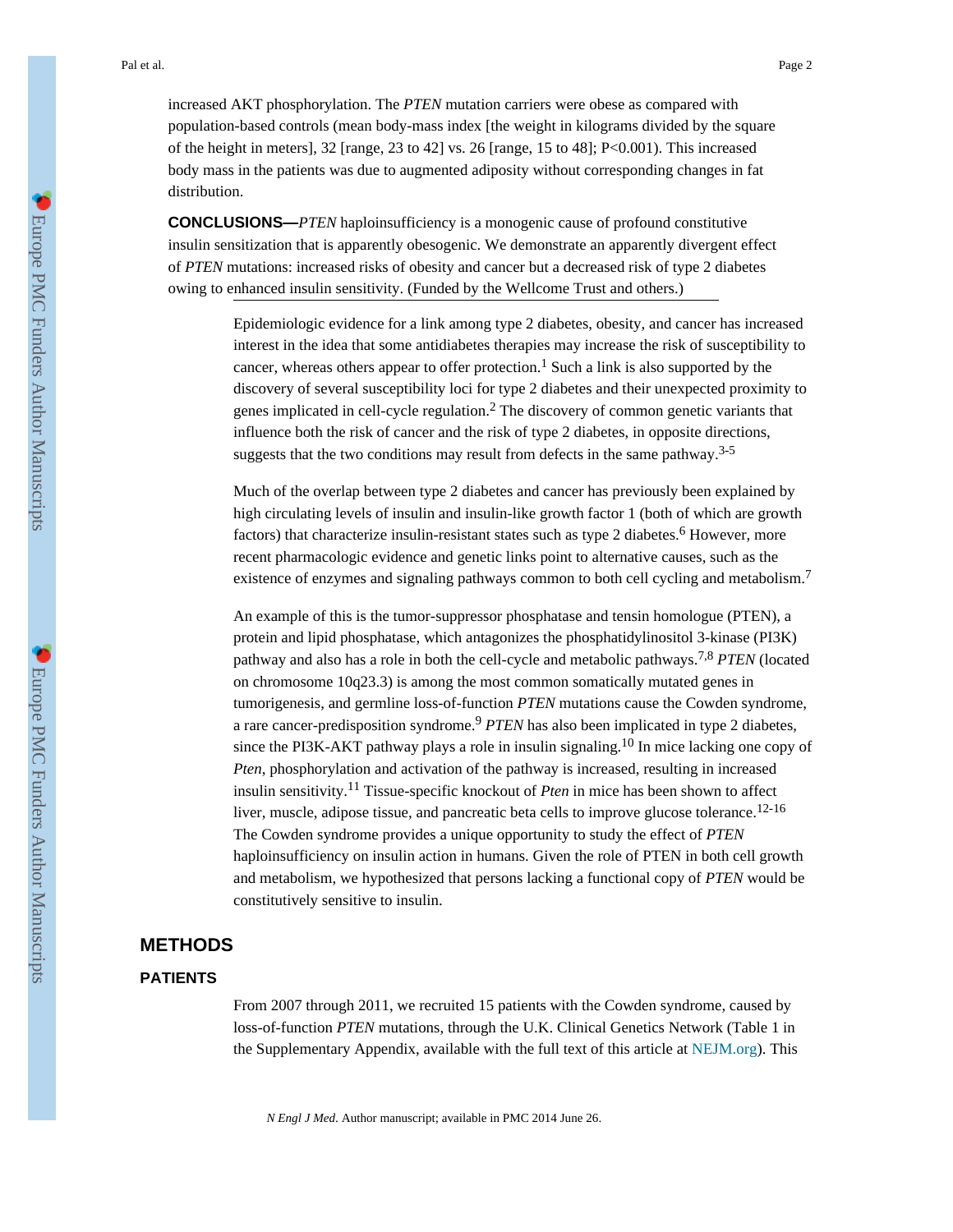increased AKT phosphorylation. The *PTEN* mutation carriers were obese as compared with population-based controls (mean body-mass index [the weight in kilograms divided by the square of the height in meters], 32 [range, 23 to 42] vs. 26 [range, 15 to 48]; P<0.001). This increased body mass in the patients was due to augmented adiposity without corresponding changes in fat distribution.

**CONCLUSIONS—***PTEN* haploinsufficiency is a monogenic cause of profound constitutive insulin sensitization that is apparently obesogenic. We demonstrate an apparently divergent effect of *PTEN* mutations: increased risks of obesity and cancer but a decreased risk of type 2 diabetes owing to enhanced insulin sensitivity. (Funded by the Wellcome Trust and others.)

> Epidemiologic evidence for a link among type 2 diabetes, obesity, and cancer has increased interest in the idea that some antidiabetes therapies may increase the risk of susceptibility to cancer, whereas others appear to offer protection.<sup>1</sup> Such a link is also supported by the discovery of several susceptibility loci for type 2 diabetes and their unexpected proximity to genes implicated in cell-cycle regulation.<sup>2</sup> The discovery of common genetic variants that influence both the risk of cancer and the risk of type 2 diabetes, in opposite directions, suggests that the two conditions may result from defects in the same pathway.<sup>3-5</sup>

> Much of the overlap between type 2 diabetes and cancer has previously been explained by high circulating levels of insulin and insulin-like growth factor 1 (both of which are growth factors) that characterize insulin-resistant states such as type 2 diabetes.<sup>6</sup> However, more recent pharmacologic evidence and genetic links point to alternative causes, such as the existence of enzymes and signaling pathways common to both cell cycling and metabolism.<sup>7</sup>

> An example of this is the tumor-suppressor phosphatase and tensin homologue (PTEN), a protein and lipid phosphatase, which antagonizes the phosphatidylinositol 3-kinase (PI3K) pathway and also has a role in both the cell-cycle and metabolic pathways.7,8 *PTEN* (located on chromosome 10q23.3) is among the most common somatically mutated genes in tumorigenesis, and germline loss-of-function *PTEN* mutations cause the Cowden syndrome, a rare cancer-predisposition syndrome.<sup>9</sup> *PTEN* has also been implicated in type 2 diabetes, since the PI3K-AKT pathway plays a role in insulin signaling.<sup>10</sup> In mice lacking one copy of *Pten*, phosphorylation and activation of the pathway is increased, resulting in increased insulin sensitivity.11 Tissue-specific knockout of *Pten* in mice has been shown to affect liver, muscle, adipose tissue, and pancreatic beta cells to improve glucose tolerance.<sup>12-16</sup> The Cowden syndrome provides a unique opportunity to study the effect of *PTEN* haploinsufficiency on insulin action in humans. Given the role of PTEN in both cell growth and metabolism, we hypothesized that persons lacking a functional copy of *PTEN* would be constitutively sensitive to insulin.

#### **METHODS**

#### **PATIENTS**

From 2007 through 2011, we recruited 15 patients with the Cowden syndrome, caused by loss-of-function *PTEN* mutations, through the U.K. Clinical Genetics Network (Table 1 in the Supplementary Appendix, available with the full text of this article at [NEJM.org\)](http://NEJM.org). This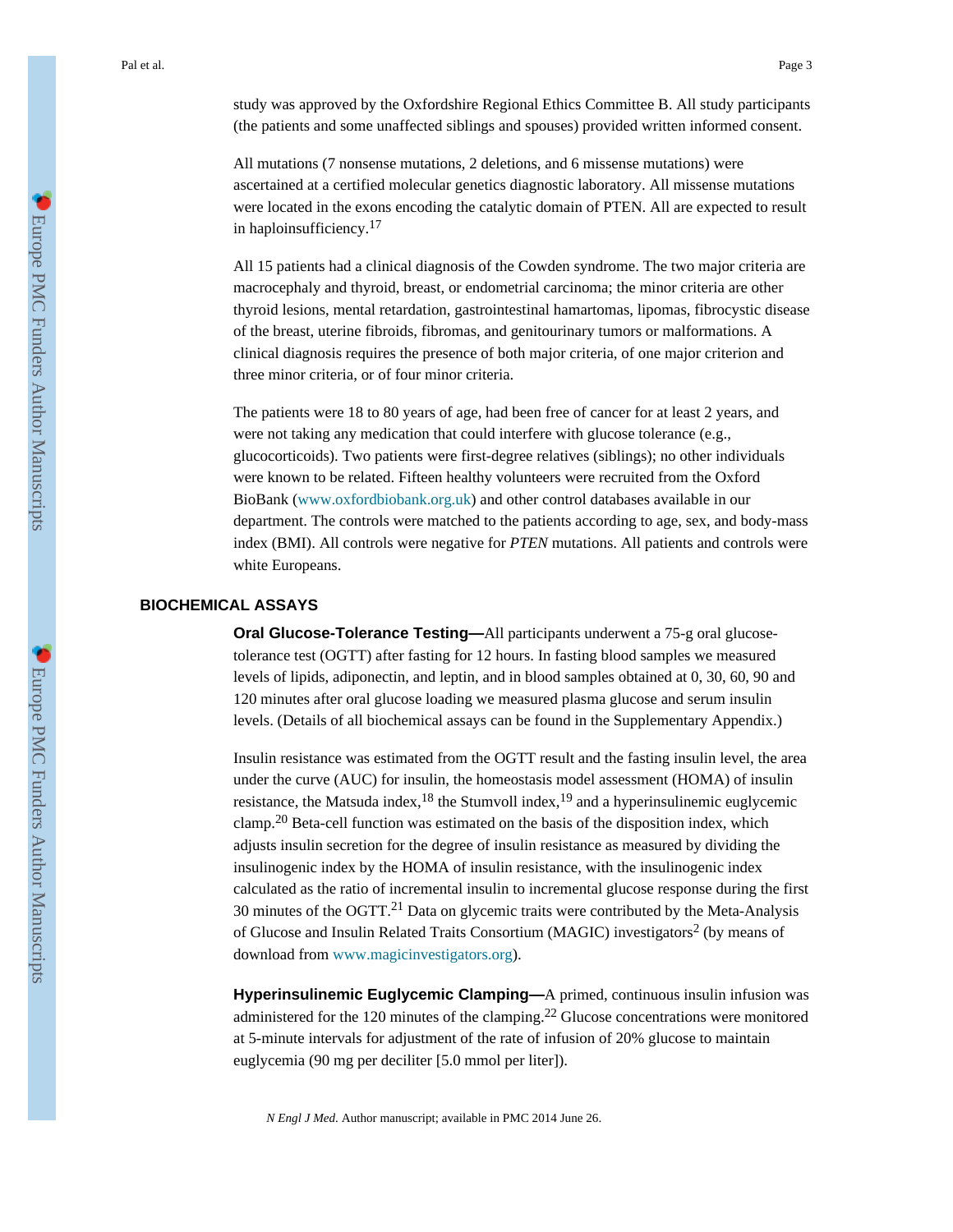All mutations (7 nonsense mutations, 2 deletions, and 6 missense mutations) were ascertained at a certified molecular genetics diagnostic laboratory. All missense mutations were located in the exons encoding the catalytic domain of PTEN. All are expected to result in haploinsufficiency.<sup>17</sup>

All 15 patients had a clinical diagnosis of the Cowden syndrome. The two major criteria are macrocephaly and thyroid, breast, or endometrial carcinoma; the minor criteria are other thyroid lesions, mental retardation, gastrointestinal hamartomas, lipomas, fibrocystic disease of the breast, uterine fibroids, fibromas, and genitourinary tumors or malformations. A clinical diagnosis requires the presence of both major criteria, of one major criterion and three minor criteria, or of four minor criteria.

The patients were 18 to 80 years of age, had been free of cancer for at least 2 years, and were not taking any medication that could interfere with glucose tolerance (e.g., glucocorticoids). Two patients were first-degree relatives (siblings); no other individuals were known to be related. Fifteen healthy volunteers were recruited from the Oxford BioBank [\(www.oxfordbiobank.org.uk\)](http://www.oxfordbiobank.org.uk) and other control databases available in our department. The controls were matched to the patients according to age, sex, and body-mass index (BMI). All controls were negative for *PTEN* mutations. All patients and controls were white Europeans.

#### **BIOCHEMICAL ASSAYS**

**Oral Glucose-Tolerance Testing—**All participants underwent a 75-g oral glucosetolerance test (OGTT) after fasting for 12 hours. In fasting blood samples we measured levels of lipids, adiponectin, and leptin, and in blood samples obtained at 0, 30, 60, 90 and 120 minutes after oral glucose loading we measured plasma glucose and serum insulin levels. (Details of all biochemical assays can be found in the Supplementary Appendix.)

Insulin resistance was estimated from the OGTT result and the fasting insulin level, the area under the curve (AUC) for insulin, the homeostasis model assessment (HOMA) of insulin resistance, the Matsuda index,  $^{18}$  the Stumvoll index,  $^{19}$  and a hyperinsulinemic euglycemic clamp.<sup>20</sup> Beta-cell function was estimated on the basis of the disposition index, which adjusts insulin secretion for the degree of insulin resistance as measured by dividing the insulinogenic index by the HOMA of insulin resistance, with the insulinogenic index calculated as the ratio of incremental insulin to incremental glucose response during the first 30 minutes of the OGTT. $^{21}$  Data on glycemic traits were contributed by the Meta-Analysis of Glucose and Insulin Related Traits Consortium (MAGIC) investigators<sup>2</sup> (by means of download from [www.magicinvestigators.org](http://www.magicinvestigators.org)).

**Hyperinsulinemic Euglycemic Clamping—**A primed, continuous insulin infusion was administered for the 120 minutes of the clamping.<sup>22</sup> Glucose concentrations were monitored at 5-minute intervals for adjustment of the rate of infusion of 20% glucose to maintain euglycemia (90 mg per deciliter [5.0 mmol per liter]).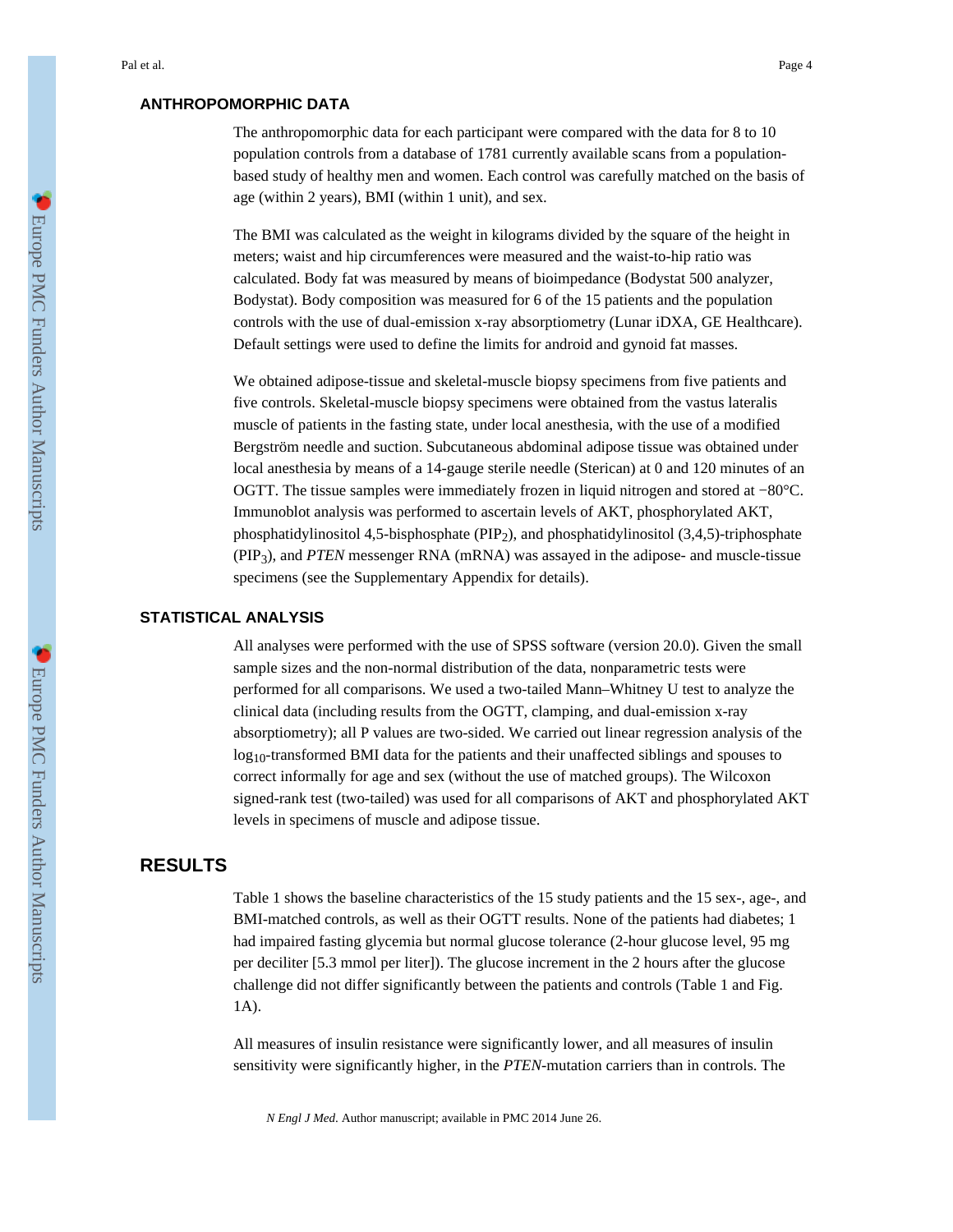### **ANTHROPOMORPHIC DATA**

The anthropomorphic data for each participant were compared with the data for 8 to 10 population controls from a database of 1781 currently available scans from a populationbased study of healthy men and women. Each control was carefully matched on the basis of age (within 2 years), BMI (within 1 unit), and sex.

The BMI was calculated as the weight in kilograms divided by the square of the height in meters; waist and hip circumferences were measured and the waist-to-hip ratio was calculated. Body fat was measured by means of bioimpedance (Bodystat 500 analyzer, Bodystat). Body composition was measured for 6 of the 15 patients and the population controls with the use of dual-emission x-ray absorptiometry (Lunar iDXA, GE Healthcare). Default settings were used to define the limits for android and gynoid fat masses.

We obtained adipose-tissue and skeletal-muscle biopsy specimens from five patients and five controls. Skeletal-muscle biopsy specimens were obtained from the vastus lateralis muscle of patients in the fasting state, under local anesthesia, with the use of a modified Bergström needle and suction. Subcutaneous abdominal adipose tissue was obtained under local anesthesia by means of a 14-gauge sterile needle (Sterican) at 0 and 120 minutes of an OGTT. The tissue samples were immediately frozen in liquid nitrogen and stored at −80°C. Immunoblot analysis was performed to ascertain levels of AKT, phosphorylated AKT, phosphatidylinositol 4,5-bisphosphate (PIP2), and phosphatidylinositol (3,4,5)-triphosphate (PIP3), and *PTEN* messenger RNA (mRNA) was assayed in the adipose- and muscle-tissue specimens (see the Supplementary Appendix for details).

#### **STATISTICAL ANALYSIS**

All analyses were performed with the use of SPSS software (version 20.0). Given the small sample sizes and the non-normal distribution of the data, nonparametric tests were performed for all comparisons. We used a two-tailed Mann–Whitney U test to analyze the clinical data (including results from the OGTT, clamping, and dual-emission x-ray absorptiometry); all P values are two-sided. We carried out linear regression analysis of the  $log_{10}$ -transformed BMI data for the patients and their unaffected siblings and spouses to correct informally for age and sex (without the use of matched groups). The Wilcoxon signed-rank test (two-tailed) was used for all comparisons of AKT and phosphorylated AKT levels in specimens of muscle and adipose tissue.

# **RESULTS**

Table 1 shows the baseline characteristics of the 15 study patients and the 15 sex-, age-, and BMI-matched controls, as well as their OGTT results. None of the patients had diabetes; 1 had impaired fasting glycemia but normal glucose tolerance (2-hour glucose level, 95 mg per deciliter [5.3 mmol per liter]). The glucose increment in the 2 hours after the glucose challenge did not differ significantly between the patients and controls (Table 1 and Fig. 1A).

All measures of insulin resistance were significantly lower, and all measures of insulin sensitivity were significantly higher, in the *PTEN*-mutation carriers than in controls. The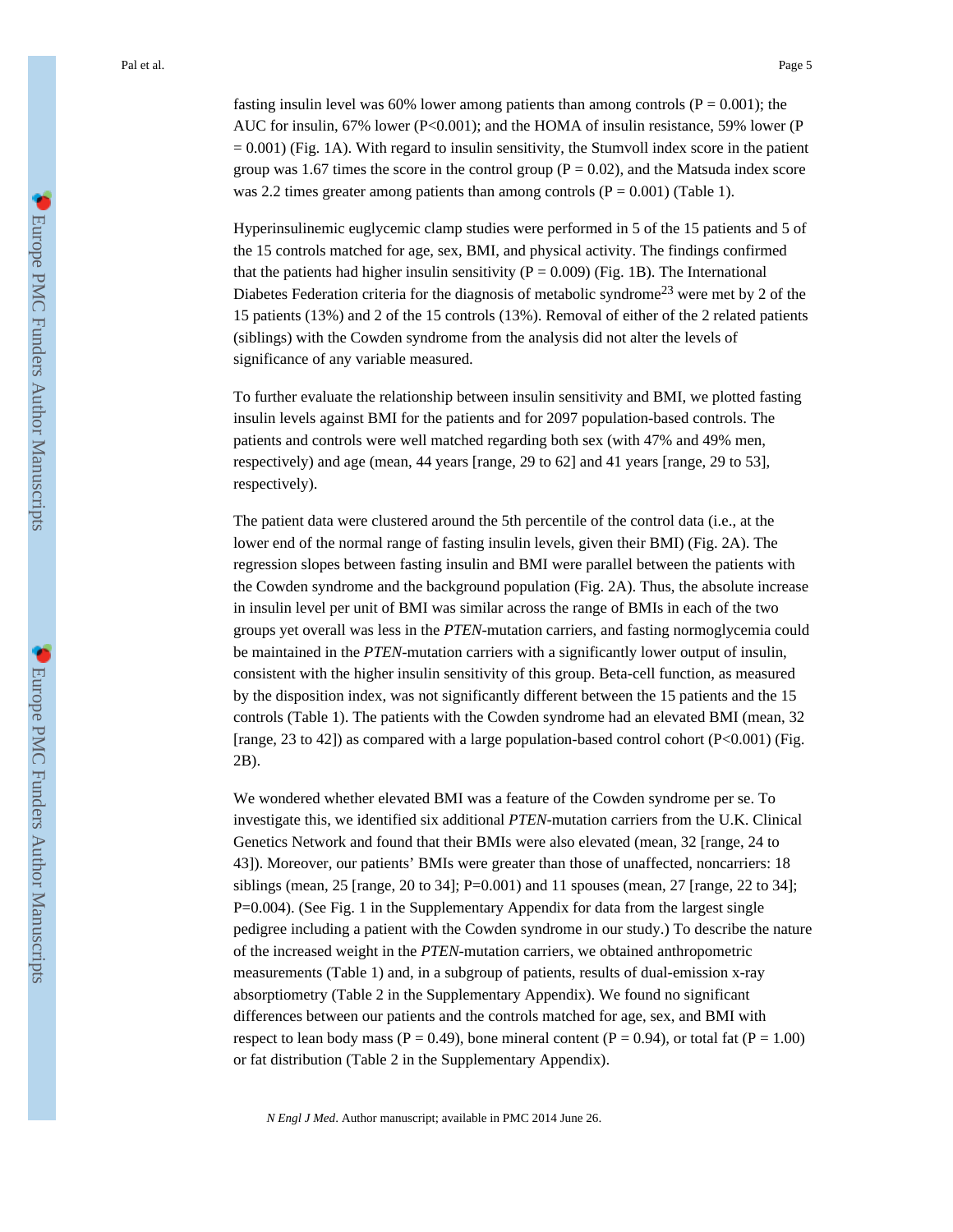fasting insulin level was 60% lower among patients than among controls ( $P = 0.001$ ); the AUC for insulin, 67% lower ( $P<0.001$ ); and the HOMA of insulin resistance, 59% lower (P  $= 0.001$ ) (Fig. 1A). With regard to insulin sensitivity, the Stumvoll index score in the patient group was 1.67 times the score in the control group ( $P = 0.02$ ), and the Matsuda index score was 2.2 times greater among patients than among controls  $(P = 0.001)$  (Table 1).

Hyperinsulinemic euglycemic clamp studies were performed in 5 of the 15 patients and 5 of the 15 controls matched for age, sex, BMI, and physical activity. The findings confirmed that the patients had higher insulin sensitivity ( $P = 0.009$ ) (Fig. 1B). The International Diabetes Federation criteria for the diagnosis of metabolic syndrome<sup>23</sup> were met by 2 of the 15 patients (13%) and 2 of the 15 controls (13%). Removal of either of the 2 related patients (siblings) with the Cowden syndrome from the analysis did not alter the levels of significance of any variable measured.

To further evaluate the relationship between insulin sensitivity and BMI, we plotted fasting insulin levels against BMI for the patients and for 2097 population-based controls. The patients and controls were well matched regarding both sex (with 47% and 49% men, respectively) and age (mean, 44 years [range, 29 to 62] and 41 years [range, 29 to 53], respectively).

The patient data were clustered around the 5th percentile of the control data (i.e., at the lower end of the normal range of fasting insulin levels, given their BMI) (Fig. 2A). The regression slopes between fasting insulin and BMI were parallel between the patients with the Cowden syndrome and the background population (Fig. 2A). Thus, the absolute increase in insulin level per unit of BMI was similar across the range of BMIs in each of the two groups yet overall was less in the *PTEN*-mutation carriers, and fasting normoglycemia could be maintained in the *PTEN*-mutation carriers with a significantly lower output of insulin, consistent with the higher insulin sensitivity of this group. Beta-cell function, as measured by the disposition index, was not significantly different between the 15 patients and the 15 controls (Table 1). The patients with the Cowden syndrome had an elevated BMI (mean, 32 [range, 23 to 42]) as compared with a large population-based control cohort  $(P<0.001)$  (Fig. 2B).

We wondered whether elevated BMI was a feature of the Cowden syndrome per se. To investigate this, we identified six additional *PTEN*-mutation carriers from the U.K. Clinical Genetics Network and found that their BMIs were also elevated (mean, 32 [range, 24 to 43]). Moreover, our patients' BMIs were greater than those of unaffected, noncarriers: 18 siblings (mean,  $25$  [range,  $20$  to  $34$ ]; P=0.001) and 11 spouses (mean,  $27$  [range,  $22$  to  $34$ ]; P=0.004). (See Fig. 1 in the Supplementary Appendix for data from the largest single pedigree including a patient with the Cowden syndrome in our study.) To describe the nature of the increased weight in the *PTEN*-mutation carriers, we obtained anthropometric measurements (Table 1) and, in a subgroup of patients, results of dual-emission x-ray absorptiometry (Table 2 in the Supplementary Appendix). We found no significant differences between our patients and the controls matched for age, sex, and BMI with respect to lean body mass ( $P = 0.49$ ), bone mineral content ( $P = 0.94$ ), or total fat ( $P = 1.00$ ) or fat distribution (Table 2 in the Supplementary Appendix).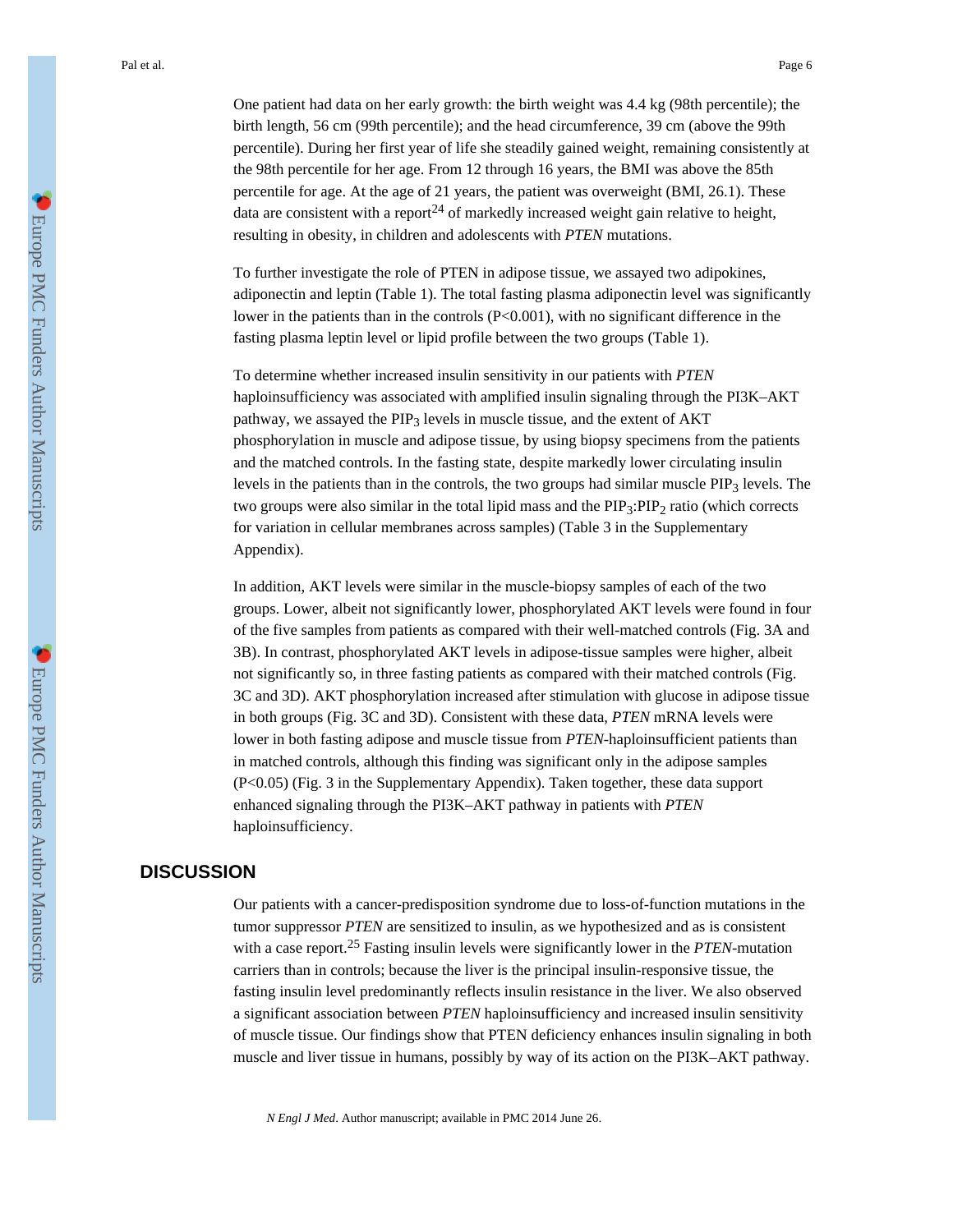One patient had data on her early growth: the birth weight was 4.4 kg (98th percentile); the birth length, 56 cm (99th percentile); and the head circumference, 39 cm (above the 99th percentile). During her first year of life she steadily gained weight, remaining consistently at the 98th percentile for her age. From 12 through 16 years, the BMI was above the 85th percentile for age. At the age of 21 years, the patient was overweight (BMI, 26.1). These data are consistent with a report<sup>24</sup> of markedly increased weight gain relative to height, resulting in obesity, in children and adolescents with *PTEN* mutations.

To further investigate the role of PTEN in adipose tissue, we assayed two adipokines, adiponectin and leptin (Table 1). The total fasting plasma adiponectin level was significantly lower in the patients than in the controls (P<0.001), with no significant difference in the fasting plasma leptin level or lipid profile between the two groups (Table 1).

To determine whether increased insulin sensitivity in our patients with *PTEN* haploinsufficiency was associated with amplified insulin signaling through the PI3K–AKT pathway, we assayed the PIP<sub>3</sub> levels in muscle tissue, and the extent of AKT phosphorylation in muscle and adipose tissue, by using biopsy specimens from the patients and the matched controls. In the fasting state, despite markedly lower circulating insulin levels in the patients than in the controls, the two groups had similar muscle  $PIP_3$  levels. The two groups were also similar in the total lipid mass and the PIP<sub>3</sub>:PIP<sub>2</sub> ratio (which corrects for variation in cellular membranes across samples) (Table 3 in the Supplementary Appendix).

In addition, AKT levels were similar in the muscle-biopsy samples of each of the two groups. Lower, albeit not significantly lower, phosphorylated AKT levels were found in four of the five samples from patients as compared with their well-matched controls (Fig. 3A and 3B). In contrast, phosphorylated AKT levels in adipose-tissue samples were higher, albeit not significantly so, in three fasting patients as compared with their matched controls (Fig. 3C and 3D). AKT phosphorylation increased after stimulation with glucose in adipose tissue in both groups (Fig. 3C and 3D). Consistent with these data, *PTEN* mRNA levels were lower in both fasting adipose and muscle tissue from *PTEN*-haploinsufficient patients than in matched controls, although this finding was significant only in the adipose samples (P<0.05) (Fig. 3 in the Supplementary Appendix). Taken together, these data support enhanced signaling through the PI3K–AKT pathway in patients with *PTEN* haploinsufficiency.

# **DISCUSSION**

Our patients with a cancer-predisposition syndrome due to loss-of-function mutations in the tumor suppressor *PTEN* are sensitized to insulin, as we hypothesized and as is consistent with a case report.<sup>25</sup> Fasting insulin levels were significantly lower in the *PTEN*-mutation carriers than in controls; because the liver is the principal insulin-responsive tissue, the fasting insulin level predominantly reflects insulin resistance in the liver. We also observed a significant association between *PTEN* haploinsufficiency and increased insulin sensitivity of muscle tissue. Our findings show that PTEN deficiency enhances insulin signaling in both muscle and liver tissue in humans, possibly by way of its action on the PI3K–AKT pathway.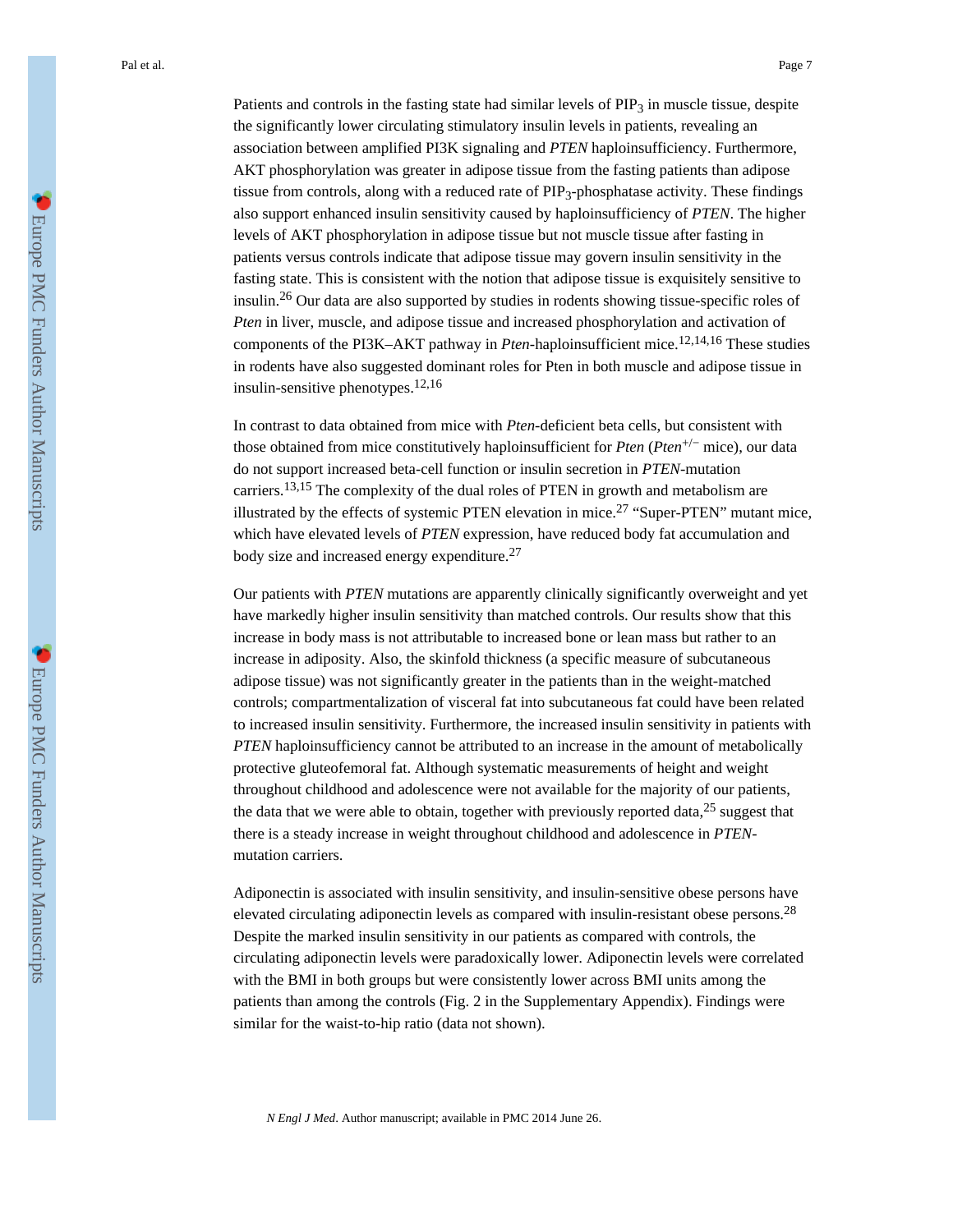Patients and controls in the fasting state had similar levels of  $PIP<sub>3</sub>$  in muscle tissue, despite the significantly lower circulating stimulatory insulin levels in patients, revealing an association between amplified PI3K signaling and *PTEN* haploinsufficiency. Furthermore, AKT phosphorylation was greater in adipose tissue from the fasting patients than adipose tissue from controls, along with a reduced rate of  $PIP_3$ -phosphatase activity. These findings also support enhanced insulin sensitivity caused by haploinsufficiency of *PTEN*. The higher levels of AKT phosphorylation in adipose tissue but not muscle tissue after fasting in patients versus controls indicate that adipose tissue may govern insulin sensitivity in the fasting state. This is consistent with the notion that adipose tissue is exquisitely sensitive to insulin.26 Our data are also supported by studies in rodents showing tissue-specific roles of *Pten* in liver, muscle, and adipose tissue and increased phosphorylation and activation of components of the PI3K–AKT pathway in *Pten*-haploinsufficient mice.12,14,16 These studies in rodents have also suggested dominant roles for Pten in both muscle and adipose tissue in insulin-sensitive phenotypes.12,16

In contrast to data obtained from mice with *Pten*-deficient beta cells, but consistent with those obtained from mice constitutively haploinsufficient for *Pten* (*Pten*+/− mice), our data do not support increased beta-cell function or insulin secretion in *PTEN*-mutation carriers.13,15 The complexity of the dual roles of PTEN in growth and metabolism are illustrated by the effects of systemic PTEN elevation in mice.<sup>27</sup> "Super-PTEN" mutant mice, which have elevated levels of *PTEN* expression, have reduced body fat accumulation and body size and increased energy expenditure.<sup>27</sup>

Our patients with *PTEN* mutations are apparently clinically significantly overweight and yet have markedly higher insulin sensitivity than matched controls. Our results show that this increase in body mass is not attributable to increased bone or lean mass but rather to an increase in adiposity. Also, the skinfold thickness (a specific measure of subcutaneous adipose tissue) was not significantly greater in the patients than in the weight-matched controls; compartmentalization of visceral fat into subcutaneous fat could have been related to increased insulin sensitivity. Furthermore, the increased insulin sensitivity in patients with *PTEN* haploinsufficiency cannot be attributed to an increase in the amount of metabolically protective gluteofemoral fat. Although systematic measurements of height and weight throughout childhood and adolescence were not available for the majority of our patients, the data that we were able to obtain, together with previously reported data,  $25$  suggest that there is a steady increase in weight throughout childhood and adolescence in *PTEN*mutation carriers.

Adiponectin is associated with insulin sensitivity, and insulin-sensitive obese persons have elevated circulating adiponectin levels as compared with insulin-resistant obese persons.<sup>28</sup> Despite the marked insulin sensitivity in our patients as compared with controls, the circulating adiponectin levels were paradoxically lower. Adiponectin levels were correlated with the BMI in both groups but were consistently lower across BMI units among the patients than among the controls (Fig. 2 in the Supplementary Appendix). Findings were similar for the waist-to-hip ratio (data not shown).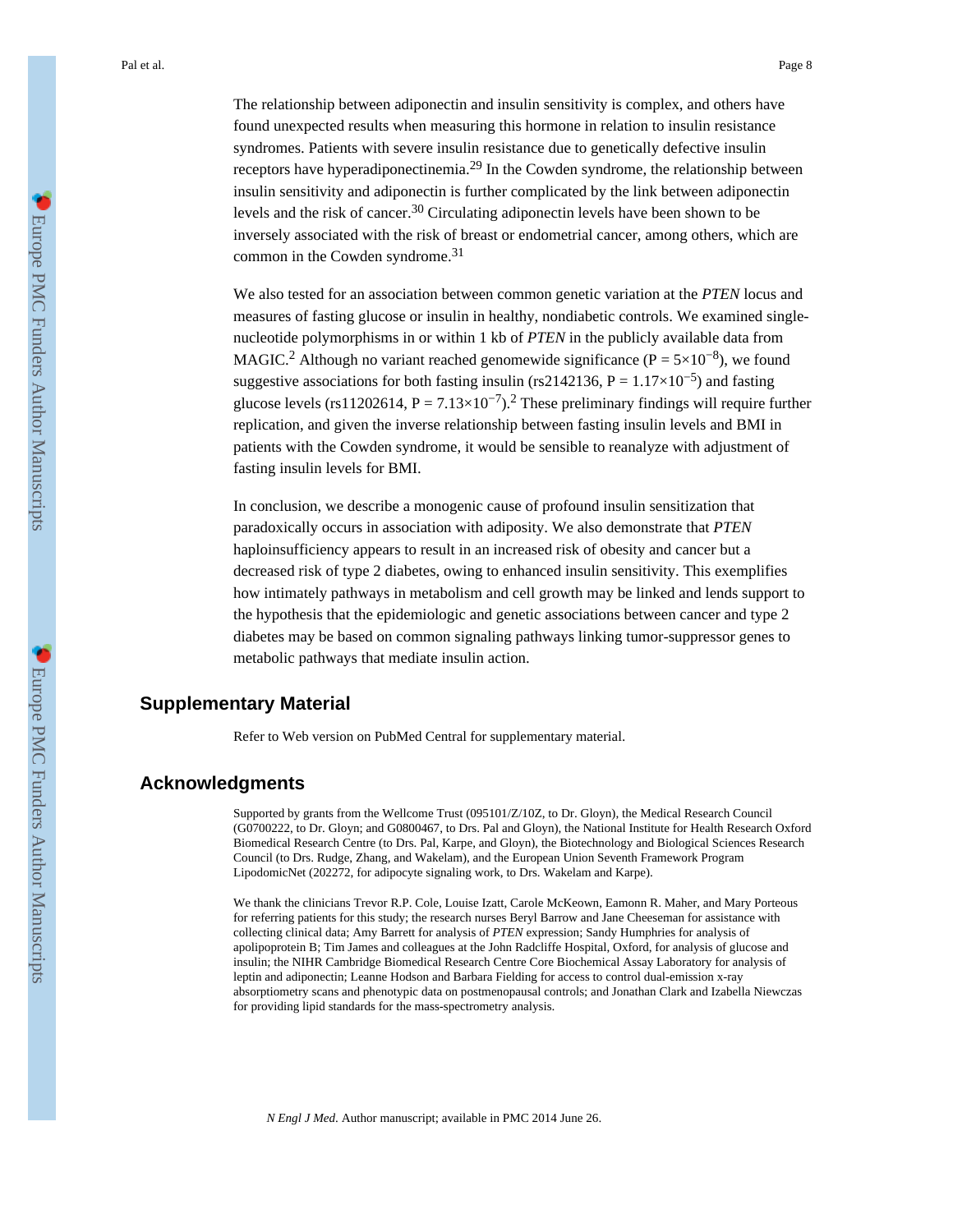The relationship between adiponectin and insulin sensitivity is complex, and others have found unexpected results when measuring this hormone in relation to insulin resistance syndromes. Patients with severe insulin resistance due to genetically defective insulin receptors have hyperadiponectinemia.<sup>29</sup> In the Cowden syndrome, the relationship between insulin sensitivity and adiponectin is further complicated by the link between adiponectin levels and the risk of cancer.30 Circulating adiponectin levels have been shown to be inversely associated with the risk of breast or endometrial cancer, among others, which are common in the Cowden syndrome.<sup>31</sup>

We also tested for an association between common genetic variation at the *PTEN* locus and measures of fasting glucose or insulin in healthy, nondiabetic controls. We examined singlenucleotide polymorphisms in or within 1 kb of *PTEN* in the publicly available data from MAGIC.<sup>2</sup> Although no variant reached genomewide significance ( $P = 5 \times 10^{-8}$ ), we found suggestive associations for both fasting insulin (rs2142136, P =  $1.17 \times 10^{-5}$ ) and fasting glucose levels (rs11202614,  $P = 7.13 \times 10^{-7}$ ).<sup>2</sup> These preliminary findings will require further replication, and given the inverse relationship between fasting insulin levels and BMI in patients with the Cowden syndrome, it would be sensible to reanalyze with adjustment of fasting insulin levels for BMI.

In conclusion, we describe a monogenic cause of profound insulin sensitization that paradoxically occurs in association with adiposity. We also demonstrate that *PTEN* haploinsufficiency appears to result in an increased risk of obesity and cancer but a decreased risk of type 2 diabetes, owing to enhanced insulin sensitivity. This exemplifies how intimately pathways in metabolism and cell growth may be linked and lends support to the hypothesis that the epidemiologic and genetic associations between cancer and type 2 diabetes may be based on common signaling pathways linking tumor-suppressor genes to metabolic pathways that mediate insulin action.

# **Supplementary Material**

Refer to Web version on PubMed Central for supplementary material.

### **Acknowledgments**

Supported by grants from the Wellcome Trust (095101/Z/10Z, to Dr. Gloyn), the Medical Research Council (G0700222, to Dr. Gloyn; and G0800467, to Drs. Pal and Gloyn), the National Institute for Health Research Oxford Biomedical Research Centre (to Drs. Pal, Karpe, and Gloyn), the Biotechnology and Biological Sciences Research Council (to Drs. Rudge, Zhang, and Wakelam), and the European Union Seventh Framework Program LipodomicNet (202272, for adipocyte signaling work, to Drs. Wakelam and Karpe).

We thank the clinicians Trevor R.P. Cole, Louise Izatt, Carole McKeown, Eamonn R. Maher, and Mary Porteous for referring patients for this study; the research nurses Beryl Barrow and Jane Cheeseman for assistance with collecting clinical data; Amy Barrett for analysis of *PTEN* expression; Sandy Humphries for analysis of apolipoprotein B; Tim James and colleagues at the John Radcliffe Hospital, Oxford, for analysis of glucose and insulin; the NIHR Cambridge Biomedical Research Centre Core Biochemical Assay Laboratory for analysis of leptin and adiponectin; Leanne Hodson and Barbara Fielding for access to control dual-emission x-ray absorptiometry scans and phenotypic data on postmenopausal controls; and Jonathan Clark and Izabella Niewczas for providing lipid standards for the mass-spectrometry analysis.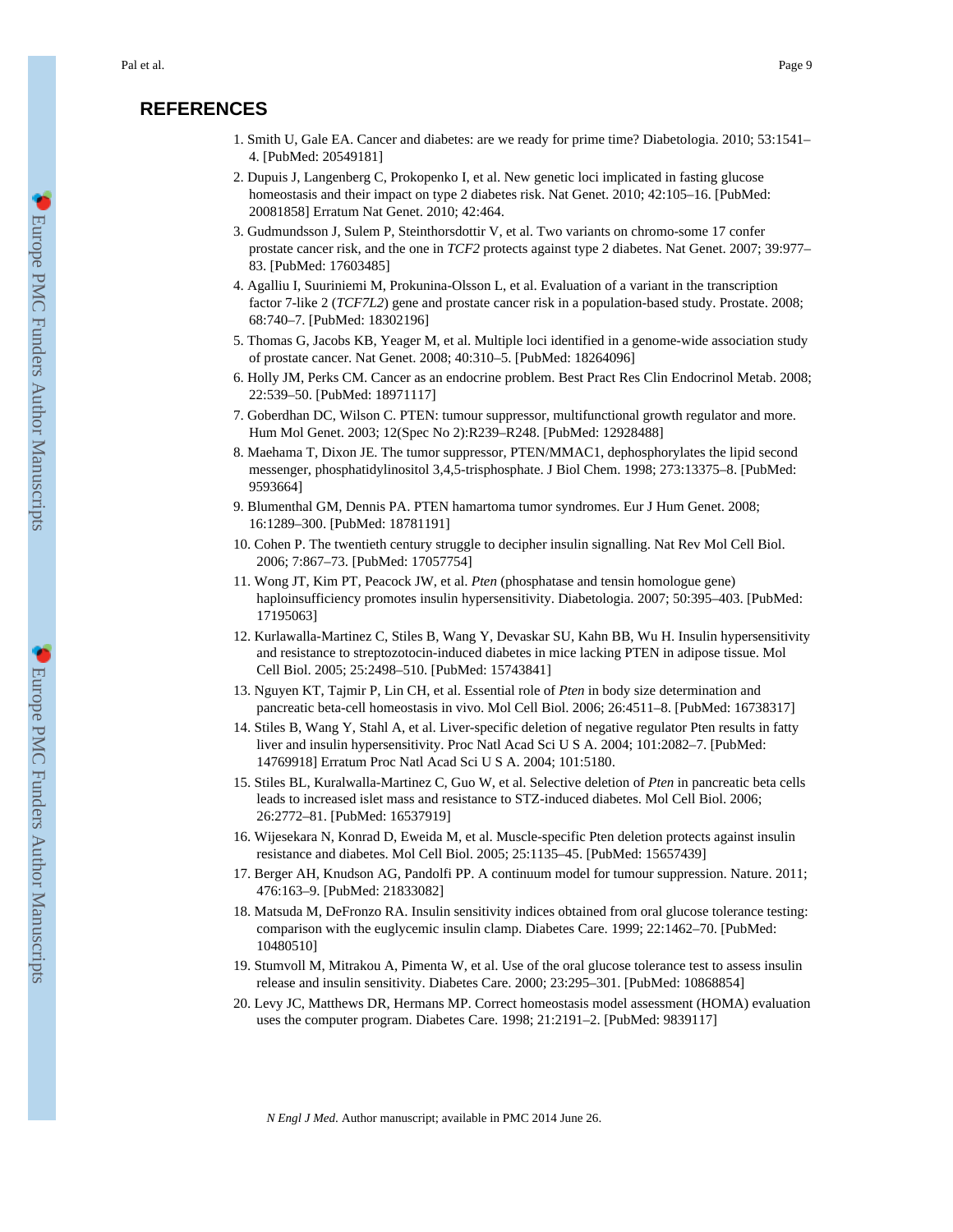# **REFERENCES**

- 1. Smith U, Gale EA. Cancer and diabetes: are we ready for prime time? Diabetologia. 2010; 53:1541– 4. [PubMed: 20549181]
- 2. Dupuis J, Langenberg C, Prokopenko I, et al. New genetic loci implicated in fasting glucose homeostasis and their impact on type 2 diabetes risk. Nat Genet. 2010; 42:105-16. [PubMed: 20081858] Erratum Nat Genet. 2010; 42:464.
- 3. Gudmundsson J, Sulem P, Steinthorsdottir V, et al. Two variants on chromo-some 17 confer prostate cancer risk, and the one in *TCF2* protects against type 2 diabetes. Nat Genet. 2007; 39:977– 83. [PubMed: 17603485]
- 4. Agalliu I, Suuriniemi M, Prokunina-Olsson L, et al. Evaluation of a variant in the transcription factor 7-like 2 (*TCF7L2*) gene and prostate cancer risk in a population-based study. Prostate. 2008; 68:740–7. [PubMed: 18302196]
- 5. Thomas G, Jacobs KB, Yeager M, et al. Multiple loci identified in a genome-wide association study of prostate cancer. Nat Genet. 2008; 40:310–5. [PubMed: 18264096]
- 6. Holly JM, Perks CM. Cancer as an endocrine problem. Best Pract Res Clin Endocrinol Metab. 2008; 22:539–50. [PubMed: 18971117]
- 7. Goberdhan DC, Wilson C. PTEN: tumour suppressor, multifunctional growth regulator and more. Hum Mol Genet. 2003; 12(Spec No 2):R239–R248. [PubMed: 12928488]
- 8. Maehama T, Dixon JE. The tumor suppressor, PTEN/MMAC1, dephosphorylates the lipid second messenger, phosphatidylinositol 3,4,5-trisphosphate. J Biol Chem. 1998; 273:13375–8. [PubMed: 9593664]
- 9. Blumenthal GM, Dennis PA. PTEN hamartoma tumor syndromes. Eur J Hum Genet. 2008; 16:1289–300. [PubMed: 18781191]
- 10. Cohen P. The twentieth century struggle to decipher insulin signalling. Nat Rev Mol Cell Biol. 2006; 7:867–73. [PubMed: 17057754]
- 11. Wong JT, Kim PT, Peacock JW, et al. *Pten* (phosphatase and tensin homologue gene) haploinsufficiency promotes insulin hypersensitivity. Diabetologia. 2007; 50:395–403. [PubMed: 17195063]
- 12. Kurlawalla-Martinez C, Stiles B, Wang Y, Devaskar SU, Kahn BB, Wu H. Insulin hypersensitivity and resistance to streptozotocin-induced diabetes in mice lacking PTEN in adipose tissue. Mol Cell Biol. 2005; 25:2498–510. [PubMed: 15743841]
- 13. Nguyen KT, Tajmir P, Lin CH, et al. Essential role of *Pten* in body size determination and pancreatic beta-cell homeostasis in vivo. Mol Cell Biol. 2006; 26:4511–8. [PubMed: 16738317]
- 14. Stiles B, Wang Y, Stahl A, et al. Liver-specific deletion of negative regulator Pten results in fatty liver and insulin hypersensitivity. Proc Natl Acad Sci U S A. 2004; 101:2082–7. [PubMed: 14769918] Erratum Proc Natl Acad Sci U S A. 2004; 101:5180.
- 15. Stiles BL, Kuralwalla-Martinez C, Guo W, et al. Selective deletion of *Pten* in pancreatic beta cells leads to increased islet mass and resistance to STZ-induced diabetes. Mol Cell Biol. 2006; 26:2772–81. [PubMed: 16537919]
- 16. Wijesekara N, Konrad D, Eweida M, et al. Muscle-specific Pten deletion protects against insulin resistance and diabetes. Mol Cell Biol. 2005; 25:1135–45. [PubMed: 15657439]
- 17. Berger AH, Knudson AG, Pandolfi PP. A continuum model for tumour suppression. Nature. 2011; 476:163–9. [PubMed: 21833082]
- 18. Matsuda M, DeFronzo RA. Insulin sensitivity indices obtained from oral glucose tolerance testing: comparison with the euglycemic insulin clamp. Diabetes Care. 1999; 22:1462–70. [PubMed: 10480510]
- 19. Stumvoll M, Mitrakou A, Pimenta W, et al. Use of the oral glucose tolerance test to assess insulin release and insulin sensitivity. Diabetes Care. 2000; 23:295–301. [PubMed: 10868854]
- 20. Levy JC, Matthews DR, Hermans MP. Correct homeostasis model assessment (HOMA) evaluation uses the computer program. Diabetes Care. 1998; 21:2191–2. [PubMed: 9839117]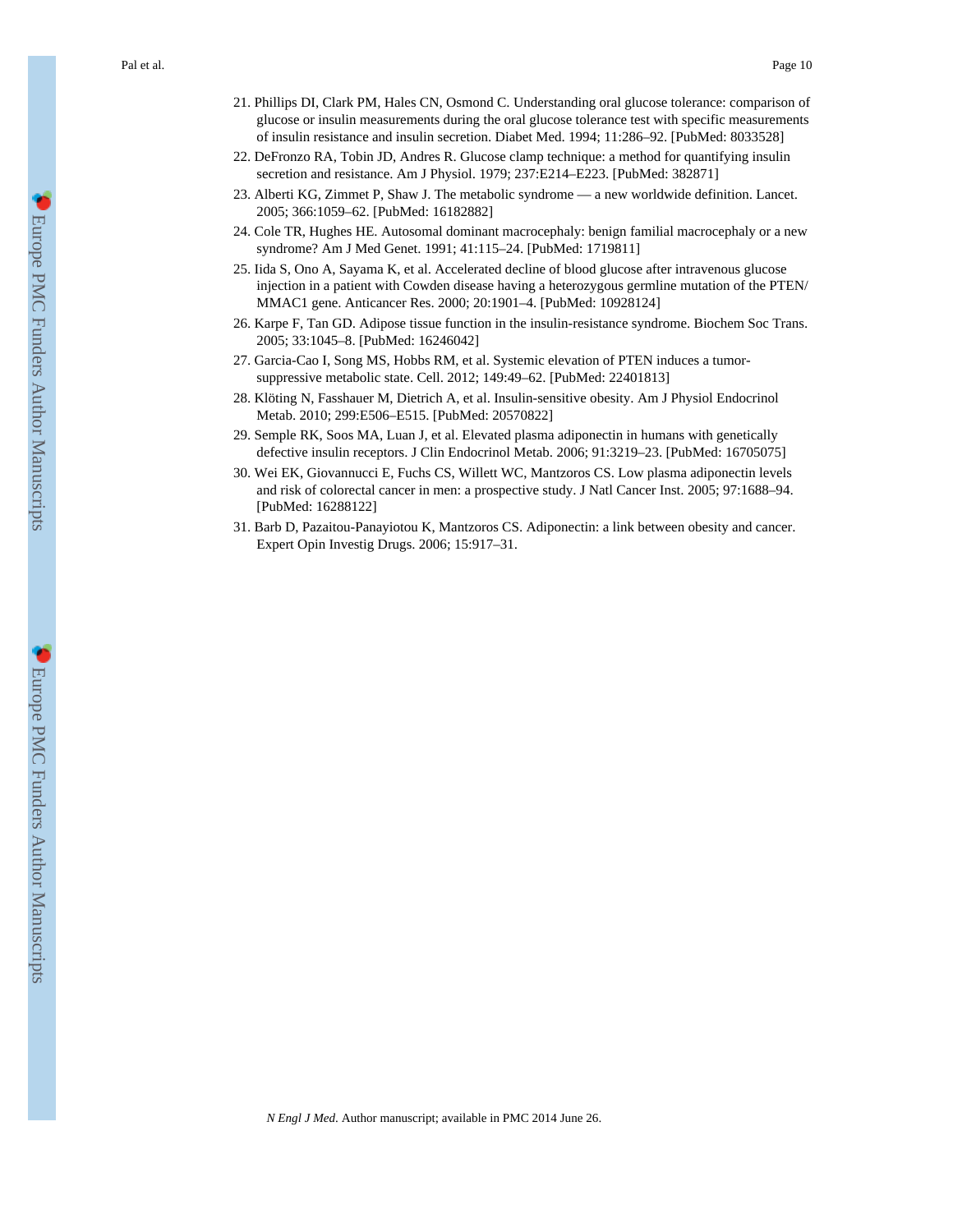Pal et al. Page 10

- 21. Phillips DI, Clark PM, Hales CN, Osmond C. Understanding oral glucose tolerance: comparison of glucose or insulin measurements during the oral glucose tolerance test with specific measurements of insulin resistance and insulin secretion. Diabet Med. 1994; 11:286–92. [PubMed: 8033528]
- 22. DeFronzo RA, Tobin JD, Andres R. Glucose clamp technique: a method for quantifying insulin secretion and resistance. Am J Physiol. 1979; 237:E214–E223. [PubMed: 382871]
- 23. Alberti KG, Zimmet P, Shaw J. The metabolic syndrome a new worldwide definition. Lancet. 2005; 366:1059–62. [PubMed: 16182882]
- 24. Cole TR, Hughes HE. Autosomal dominant macrocephaly: benign familial macrocephaly or a new syndrome? Am J Med Genet. 1991; 41:115–24. [PubMed: 1719811]
- 25. Iida S, Ono A, Sayama K, et al. Accelerated decline of blood glucose after intravenous glucose injection in a patient with Cowden disease having a heterozygous germline mutation of the PTEN/ MMAC1 gene. Anticancer Res. 2000; 20:1901–4. [PubMed: 10928124]
- 26. Karpe F, Tan GD. Adipose tissue function in the insulin-resistance syndrome. Biochem Soc Trans. 2005; 33:1045–8. [PubMed: 16246042]
- 27. Garcia-Cao I, Song MS, Hobbs RM, et al. Systemic elevation of PTEN induces a tumorsuppressive metabolic state. Cell. 2012; 149:49–62. [PubMed: 22401813]
- 28. Klöting N, Fasshauer M, Dietrich A, et al. Insulin-sensitive obesity. Am J Physiol Endocrinol Metab. 2010; 299:E506–E515. [PubMed: 20570822]
- 29. Semple RK, Soos MA, Luan J, et al. Elevated plasma adiponectin in humans with genetically defective insulin receptors. J Clin Endocrinol Metab. 2006; 91:3219–23. [PubMed: 16705075]
- 30. Wei EK, Giovannucci E, Fuchs CS, Willett WC, Mantzoros CS. Low plasma adiponectin levels and risk of colorectal cancer in men: a prospective study. J Natl Cancer Inst. 2005; 97:1688–94. [PubMed: 16288122]
- 31. Barb D, Pazaitou-Panayiotou K, Mantzoros CS. Adiponectin: a link between obesity and cancer. Expert Opin Investig Drugs. 2006; 15:917–31.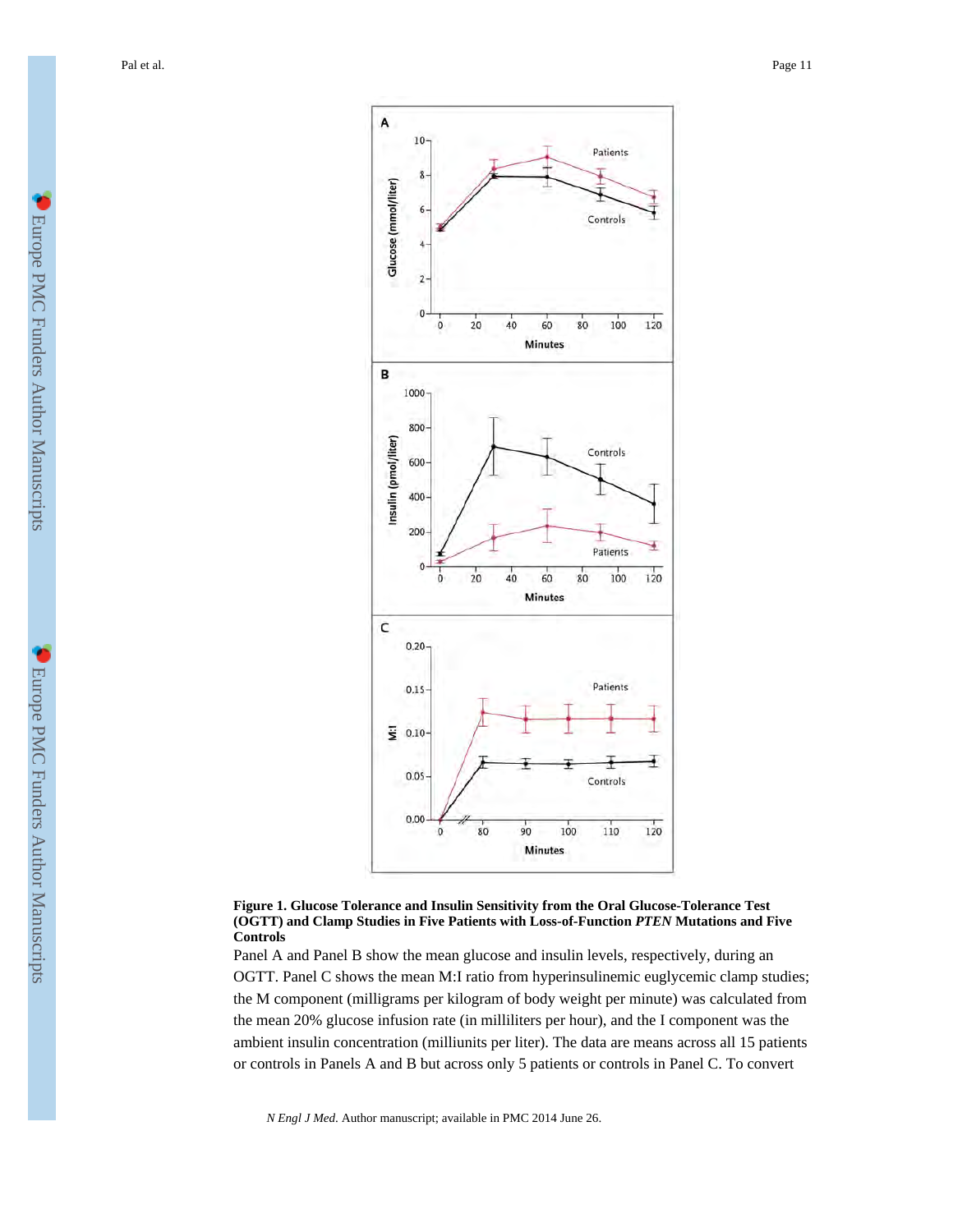Pal et al. Page 11



#### **Figure 1. Glucose Tolerance and Insulin Sensitivity from the Oral Glucose-Tolerance Test (OGTT) and Clamp Studies in Five Patients with Loss-of-Function** *PTEN* **Mutations and Five Controls**

Panel A and Panel B show the mean glucose and insulin levels, respectively, during an OGTT. Panel C shows the mean M:I ratio from hyperinsulinemic euglycemic clamp studies; the M component (milligrams per kilogram of body weight per minute) was calculated from the mean 20% glucose infusion rate (in milliliters per hour), and the I component was the ambient insulin concentration (milliunits per liter). The data are means across all 15 patients or controls in Panels A and B but across only 5 patients or controls in Panel C. To convert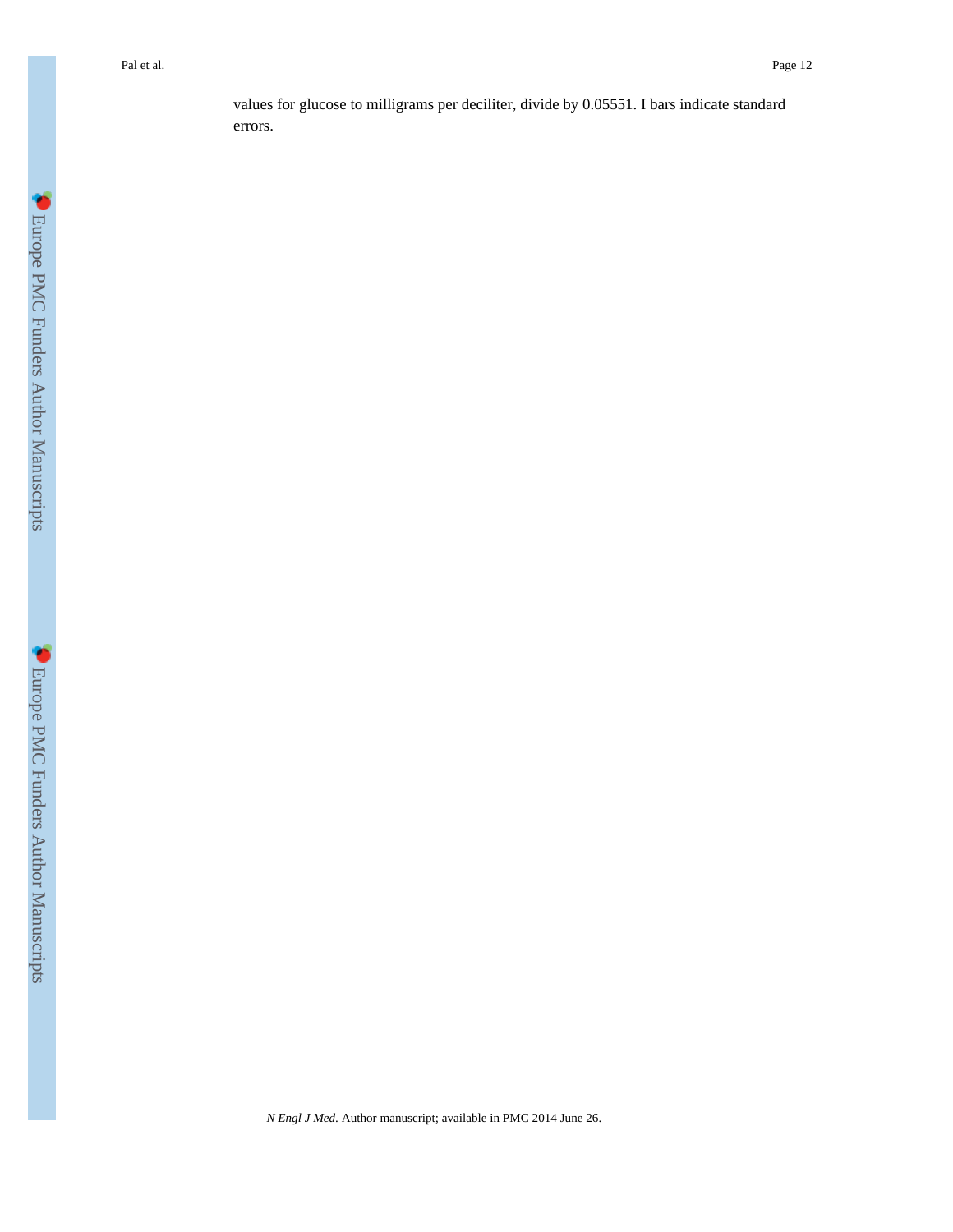values for glucose to milligrams per deciliter, divide by 0.05551. I bars indicate standard errors.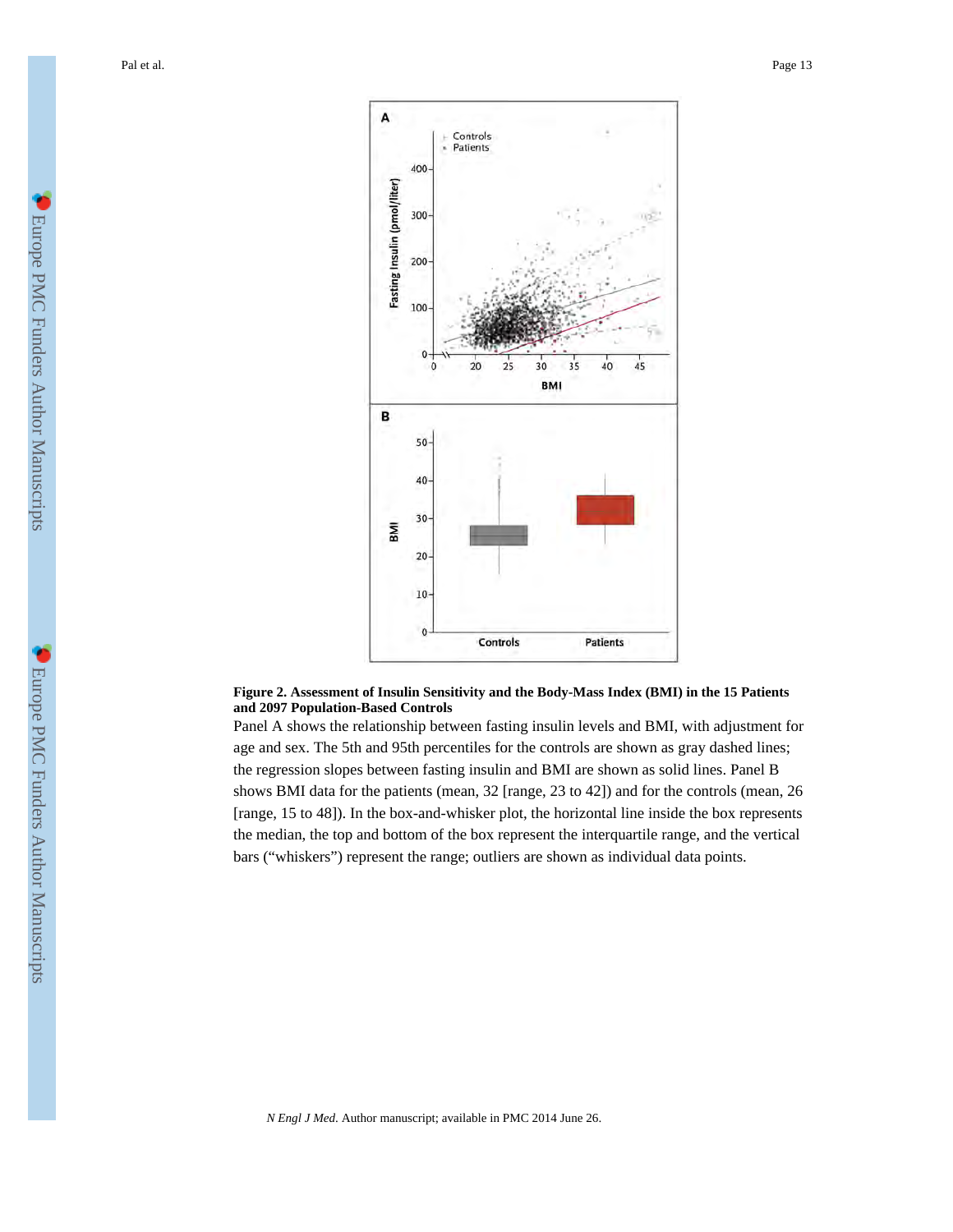

#### **Figure 2. Assessment of Insulin Sensitivity and the Body-Mass Index (BMI) in the 15 Patients and 2097 Population-Based Controls**

Panel A shows the relationship between fasting insulin levels and BMI, with adjustment for age and sex. The 5th and 95th percentiles for the controls are shown as gray dashed lines; the regression slopes between fasting insulin and BMI are shown as solid lines. Panel B shows BMI data for the patients (mean, 32 [range, 23 to 42]) and for the controls (mean, 26 [range, 15 to 48]). In the box-and-whisker plot, the horizontal line inside the box represents the median, the top and bottom of the box represent the interquartile range, and the vertical bars ("whiskers") represent the range; outliers are shown as individual data points.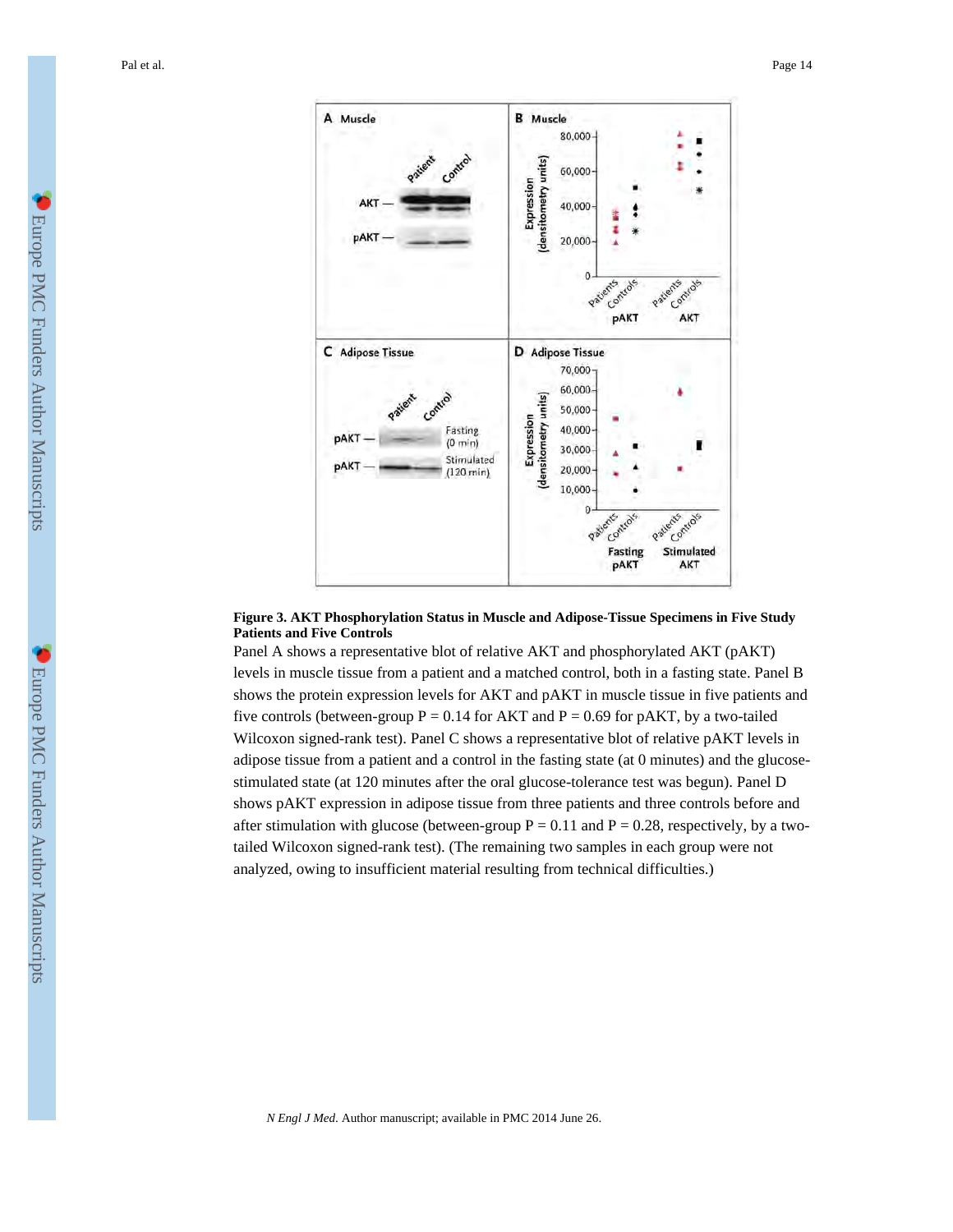Pal et al. Page 14



#### **Figure 3. AKT Phosphorylation Status in Muscle and Adipose-Tissue Specimens in Five Study Patients and Five Controls**

Panel A shows a representative blot of relative AKT and phosphorylated AKT (pAKT) levels in muscle tissue from a patient and a matched control, both in a fasting state. Panel B shows the protein expression levels for AKT and pAKT in muscle tissue in five patients and five controls (between-group  $P = 0.14$  for AKT and  $P = 0.69$  for pAKT, by a two-tailed Wilcoxon signed-rank test). Panel C shows a representative blot of relative pAKT levels in adipose tissue from a patient and a control in the fasting state (at 0 minutes) and the glucosestimulated state (at 120 minutes after the oral glucose-tolerance test was begun). Panel D shows pAKT expression in adipose tissue from three patients and three controls before and after stimulation with glucose (between-group  $P = 0.11$  and  $P = 0.28$ , respectively, by a twotailed Wilcoxon signed-rank test). (The remaining two samples in each group were not analyzed, owing to insufficient material resulting from technical difficulties.)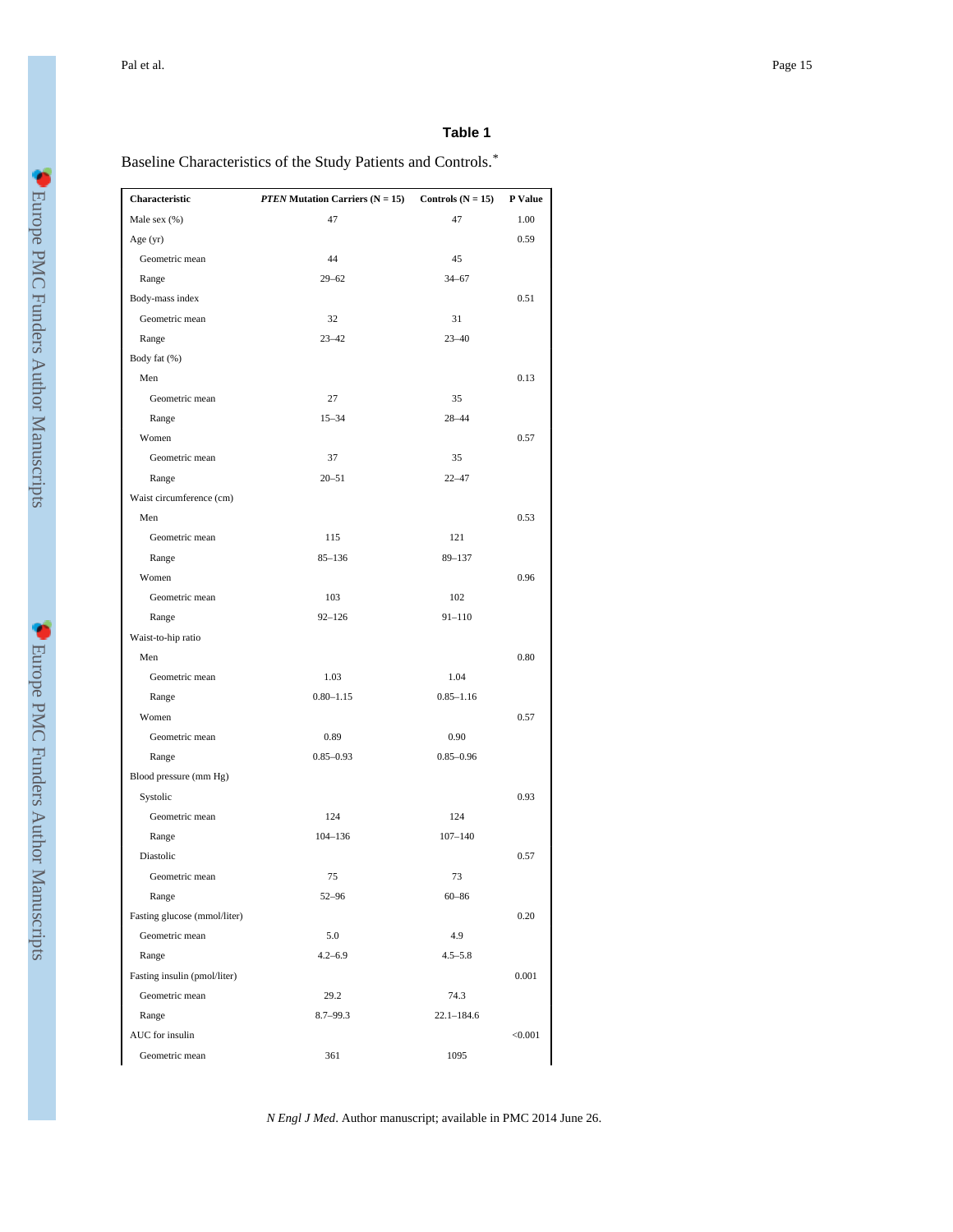### **Table 1**

Baseline Characteristics of the Study Patients and Controls. *\**

| Characteristic               | <b>PTEN Mutation Carriers (<math>N = 15</math>)</b> | Controls $(N = 15)$ | P Value |
|------------------------------|-----------------------------------------------------|---------------------|---------|
| Male sex (%)                 | 47                                                  | 47                  | 1.00    |
| Age (yr)                     |                                                     |                     | 0.59    |
| Geometric mean               | 44                                                  | 45                  |         |
| Range                        | $29 - 62$                                           | $34 - 67$           |         |
| Body-mass index              |                                                     |                     | 0.51    |
| Geometric mean               | 32                                                  | 31                  |         |
| Range                        | $23 - 42$                                           | $23 - 40$           |         |
| Body fat (%)                 |                                                     |                     |         |
| Men                          |                                                     |                     | 0.13    |
| Geometric mean               | 27                                                  | 35                  |         |
| Range                        | $15 - 34$                                           | 28-44               |         |
| Women                        |                                                     |                     | 0.57    |
| Geometric mean               | 37                                                  | 35                  |         |
| Range                        | $20 - 51$                                           | $22 - 47$           |         |
| Waist circumference (cm)     |                                                     |                     |         |
| Men                          |                                                     |                     | 0.53    |
| Geometric mean               | 115                                                 | 121                 |         |
| Range                        | $85 - 136$                                          | $89 - 137$          |         |
| Women                        |                                                     |                     | 0.96    |
| Geometric mean               | 103                                                 | 102                 |         |
| Range                        | $92 - 126$                                          | $91 - 110$          |         |
| Waist-to-hip ratio           |                                                     |                     |         |
| Men                          |                                                     |                     | 0.80    |
| Geometric mean               | 1.03                                                | 1.04                |         |
| Range                        | $0.80 - 1.15$                                       | $0.85 - 1.16$       |         |
| Women                        |                                                     |                     | 0.57    |
| Geometric mean               | 0.89                                                | 0.90                |         |
| Range                        | $0.85 - 0.93$                                       | $0.85 - 0.96$       |         |
| Blood pressure (mm Hg)       |                                                     |                     |         |
| Systolic                     |                                                     |                     | 0.93    |
| Geometric mean               | 124                                                 | 124                 |         |
| Range                        | 104-136                                             | $107 - 140$         |         |
| Diastolic                    |                                                     |                     | 0.57    |
| Geometric mean               | 75                                                  | 73                  |         |
| Range                        | $52 - 96$                                           | $60 - 86$           |         |
| Fasting glucose (mmol/liter) |                                                     |                     | 0.20    |
| Geometric mean               | 5.0                                                 | 4.9                 |         |
| Range                        | $4.2 - 6.9$                                         | $4.5 - 5.8$         |         |
| Fasting insulin (pmol/liter) |                                                     |                     | 0.001   |
| Geometric mean               | 29.2                                                | 74.3                |         |
| Range                        | $8.7 - 99.3$                                        | $22.1 - 184.6$      |         |
| AUC for insulin              |                                                     |                     | < 0.001 |
| Geometric mean               | 361                                                 | 1095                |         |